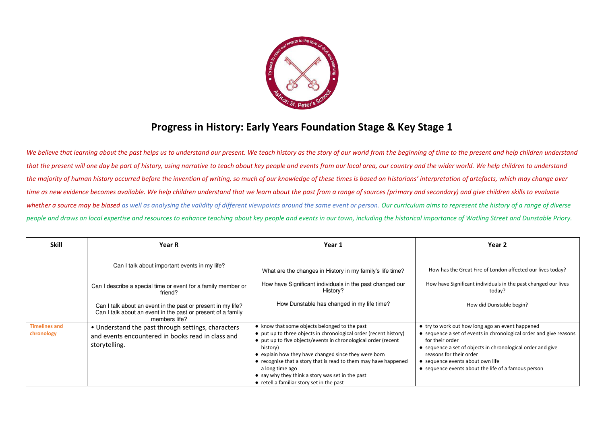

## **Progress in History: Early Years Foundation Stage & Key Stage 1**

We believe that learning about the past helps us to understand our present. We teach history as the story of our world from the beginning of time to the present and help children understand *that the present will one day be part of history, using narrative to teach about key people and events from our local area, our country and the wider world. We help children to understand the majority of human history occurred before the invention of writing, so much of our knowledge of these times is based on historians' interpretation of artefacts, which may change over time as new evidence becomes available. We help children understand that we learn about the past from a range of sources (primary and secondary) and give children skills to evaluate*  whether a source may be biased as well as analysing the validity of different viewpoints around the same event or person. Our curriculum aims to represent the history of a range of diverse *people and draws on local expertise and resources to enhance teaching about key people and events in our town, including the historical importance of Watling Street and Dunstable Priory.*

| <b>Skill</b>                       | <b>Year R</b>                                                                                                                                 | Year 1                                                                                                                                                                                                                                                                                                                                                                                                                                          | Year 2                                                                                                                                                                                                                                                                                                                         |
|------------------------------------|-----------------------------------------------------------------------------------------------------------------------------------------------|-------------------------------------------------------------------------------------------------------------------------------------------------------------------------------------------------------------------------------------------------------------------------------------------------------------------------------------------------------------------------------------------------------------------------------------------------|--------------------------------------------------------------------------------------------------------------------------------------------------------------------------------------------------------------------------------------------------------------------------------------------------------------------------------|
|                                    | Can I talk about important events in my life?                                                                                                 | What are the changes in History in my family's life time?                                                                                                                                                                                                                                                                                                                                                                                       | How has the Great Fire of London affected our lives today?                                                                                                                                                                                                                                                                     |
|                                    | Can I describe a special time or event for a family member or<br>friend?                                                                      | How have Significant individuals in the past changed our<br>History?                                                                                                                                                                                                                                                                                                                                                                            | How have Significant individuals in the past changed our lives<br>today?                                                                                                                                                                                                                                                       |
|                                    | Can I talk about an event in the past or present in my life?<br>Can I talk about an event in the past or present of a family<br>members life? | How Dunstable has changed in my life time?                                                                                                                                                                                                                                                                                                                                                                                                      | How did Dunstable begin?                                                                                                                                                                                                                                                                                                       |
| <b>Timelines and</b><br>chronology | • Understand the past through settings, characters<br>and events encountered in books read in class and<br>storytelling.                      | • know that some objects belonged to the past<br>• put up to three objects in chronological order (recent history)<br>• put up to five objects/events in chronological order (recent<br>history)<br>• explain how they have changed since they were born<br>• recognise that a story that is read to them may have happened<br>a long time ago<br>• say why they think a story was set in the past<br>• retell a familiar story set in the past | • try to work out how long ago an event happened<br>• sequence a set of events in chronological order and give reasons<br>for their order<br>• sequence a set of objects in chronological order and give<br>reasons for their order<br>• sequence events about own life<br>• sequence events about the life of a famous person |